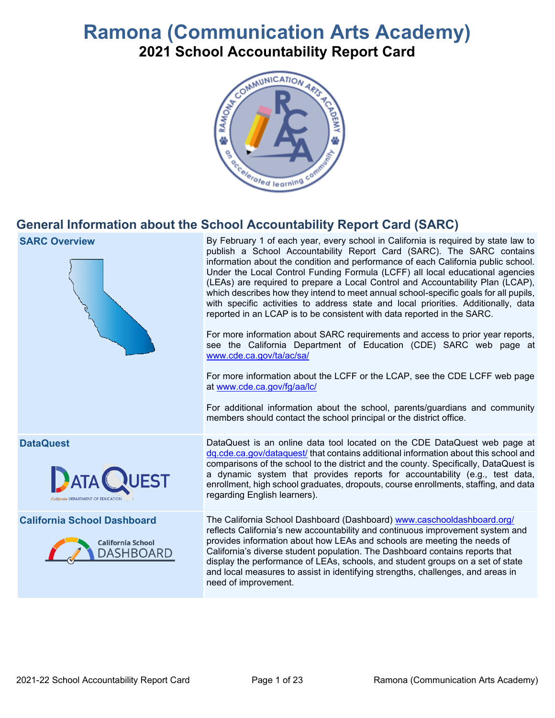# **Ramona (Communication Arts Academy) 2021 School Accountability Report Card**



## **General Information about the School Accountability Report Card (SARC)**

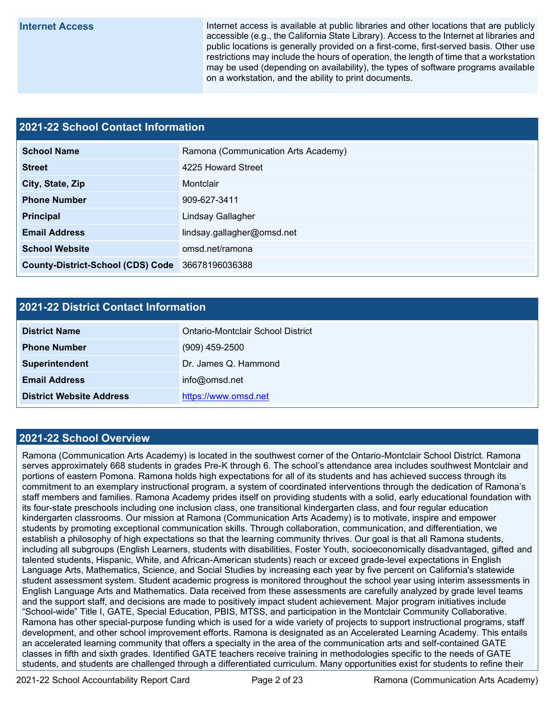**Internet Access** Internet access is available at public libraries and other locations that are publicly accessible (e.g., the California State Library). Access to the Internet at libraries and public locations is generally provided on a first-come, first-served basis. Other use restrictions may include the hours of operation, the length of time that a workstation may be used (depending on availability), the types of software programs available on a workstation, and the ability to print documents.

### **2021-22 School Contact Information**

| <b>School Name</b>                       | Ramona (Communication Arts Academy) |  |  |  |  |
|------------------------------------------|-------------------------------------|--|--|--|--|
| <b>Street</b>                            | 4225 Howard Street                  |  |  |  |  |
| City, State, Zip                         | Montclair                           |  |  |  |  |
| <b>Phone Number</b>                      | 909-627-3411                        |  |  |  |  |
| <b>Principal</b>                         | Lindsay Gallagher                   |  |  |  |  |
| <b>Email Address</b>                     | lindsay.gallagher@omsd.net          |  |  |  |  |
| <b>School Website</b>                    | omsd.net/ramona                     |  |  |  |  |
| <b>County-District-School (CDS) Code</b> | 36678196036388                      |  |  |  |  |

#### **2021-22 District Contact Information**

| <b>District Name</b>            | Ontario-Montclair School District |  |  |  |
|---------------------------------|-----------------------------------|--|--|--|
| <b>Phone Number</b>             | $(909)$ 459-2500                  |  |  |  |
| Superintendent                  | Dr. James Q. Hammond              |  |  |  |
| <b>Email Address</b>            | info@omsd.net                     |  |  |  |
| <b>District Website Address</b> | https://www.omsd.net              |  |  |  |

#### **2021-22 School Overview**

Ramona (Communication Arts Academy) is located in the southwest corner of the Ontario-Montclair School District. Ramona serves approximately 668 students in grades Pre-K through 6. The school's attendance area includes southwest Montclair and portions of eastern Pomona. Ramona holds high expectations for all of its students and has achieved success through its commitment to an exemplary instructional program, a system of coordinated interventions through the dedication of Ramona's staff members and families. Ramona Academy prides itself on providing students with a solid, early educational foundation with its four-state preschools including one inclusion class, one transitional kindergarten class, and four regular education kindergarten classrooms. Our mission at Ramona (Communication Arts Academy) is to motivate, inspire and empower students by promoting exceptional communication skills. Through collaboration, communication, and differentiation, we establish a philosophy of high expectations so that the learning community thrives. Our goal is that all Ramona students, including all subgroups (English Learners, students with disabilities, Foster Youth, socioeconomically disadvantaged, gifted and talented students, Hispanic, White, and African-American students) reach or exceed grade-level expectations in English Language Arts, Mathematics, Science, and Social Studies by increasing each year by five percent on California's statewide student assessment system. Student academic progress is monitored throughout the school year using interim assessments in English Language Arts and Mathematics. Data received from these assessments are carefully analyzed by grade level teams and the support staff, and decisions are made to positively impact student achievement. Major program initiatives include "School-wide" Title I, GATE, Special Education, PBIS, MTSS, and participation in the Montclair Community Collaborative. Ramona has other special-purpose funding which is used for a wide variety of projects to support instructional programs, staff development, and other school improvement efforts. Ramona is designated as an Accelerated Learning Academy. This entails an accelerated learning community that offers a specialty in the area of the communication arts and self-contained GATE classes in fifth and sixth grades. Identified GATE teachers receive training in methodologies specific to the needs of GATE students, and students are challenged through a differentiated curriculum. Many opportunities exist for students to refine their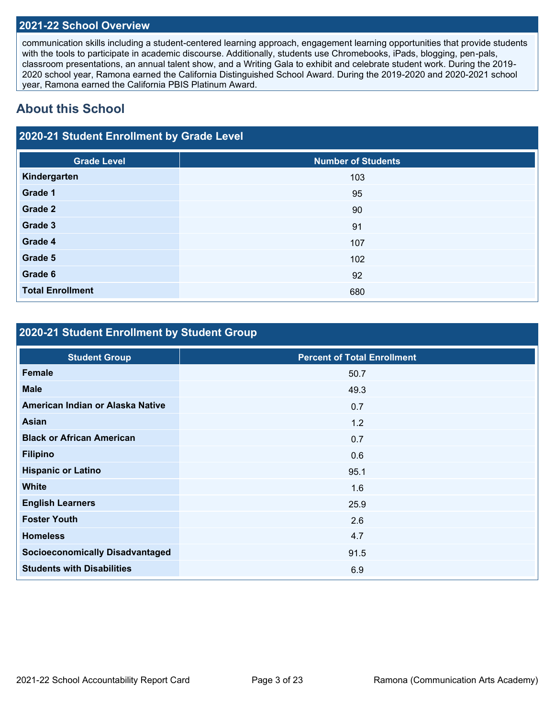#### **2021-22 School Overview**

communication skills including a student-centered learning approach, engagement learning opportunities that provide students with the tools to participate in academic discourse. Additionally, students use Chromebooks, iPads, blogging, pen-pals, classroom presentations, an annual talent show, and a Writing Gala to exhibit and celebrate student work. During the 2019- 2020 school year, Ramona earned the California Distinguished School Award. During the 2019-2020 and 2020-2021 school year, Ramona earned the California PBIS Platinum Award.

## **About this School**

## **2020-21 Student Enrollment by Grade Level**

| <b>Grade Level</b>      | <b>Number of Students</b> |
|-------------------------|---------------------------|
| Kindergarten            | 103                       |
| Grade 1                 | 95                        |
| Grade 2                 | 90                        |
| Grade 3                 | 91                        |
| Grade 4                 | 107                       |
| Grade 5                 | 102                       |
| Grade 6                 | 92                        |
| <b>Total Enrollment</b> | 680                       |

## **2020-21 Student Enrollment by Student Group**

| <b>Percent of Total Enrollment</b> |
|------------------------------------|
| 50.7                               |
| 49.3                               |
| 0.7                                |
| 1.2                                |
| 0.7                                |
| 0.6                                |
| 95.1                               |
| 1.6                                |
| 25.9                               |
| 2.6                                |
| 4.7                                |
| 91.5                               |
| 6.9                                |
|                                    |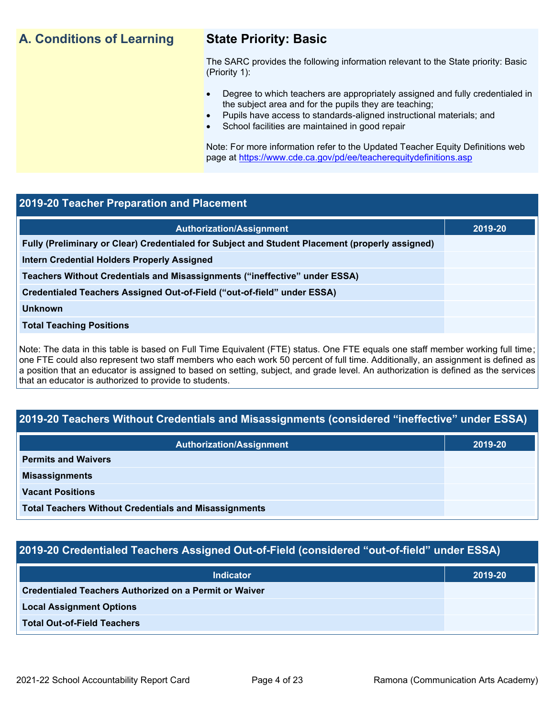## **A. Conditions of Learning State Priority: Basic**

The SARC provides the following information relevant to the State priority: Basic (Priority 1):

- Degree to which teachers are appropriately assigned and fully credentialed in the subject area and for the pupils they are teaching;
	- Pupils have access to standards-aligned instructional materials; and
- School facilities are maintained in good repair

Note: For more information refer to the Updated Teacher Equity Definitions web page at<https://www.cde.ca.gov/pd/ee/teacherequitydefinitions.asp>

#### **2019-20 Teacher Preparation and Placement**

| <b>Authorization/Assignment</b>                                                                 | 2019-20 |
|-------------------------------------------------------------------------------------------------|---------|
| Fully (Preliminary or Clear) Credentialed for Subject and Student Placement (properly assigned) |         |
| Intern Credential Holders Properly Assigned                                                     |         |
| Teachers Without Credentials and Misassignments ("ineffective" under ESSA)                      |         |
| Credentialed Teachers Assigned Out-of-Field ("out-of-field" under ESSA)                         |         |
| <b>Unknown</b>                                                                                  |         |
| <b>Total Teaching Positions</b>                                                                 |         |
|                                                                                                 |         |

Note: The data in this table is based on Full Time Equivalent (FTE) status. One FTE equals one staff member working full time; one FTE could also represent two staff members who each work 50 percent of full time. Additionally, an assignment is defined as a position that an educator is assigned to based on setting, subject, and grade level. An authorization is defined as the services that an educator is authorized to provide to students.

### **2019-20 Teachers Without Credentials and Misassignments (considered "ineffective" under ESSA)**

| <b>Authorization/Assignment</b>                              | 2019-20 |
|--------------------------------------------------------------|---------|
| <b>Permits and Waivers</b>                                   |         |
| <b>Misassignments</b>                                        |         |
| <b>Vacant Positions</b>                                      |         |
| <b>Total Teachers Without Credentials and Misassignments</b> |         |

### **2019-20 Credentialed Teachers Assigned Out-of-Field (considered "out-of-field" under ESSA)**

| <b>Indicator</b>                                       | 2019-20 |
|--------------------------------------------------------|---------|
| Credentialed Teachers Authorized on a Permit or Waiver |         |
| <b>Local Assignment Options</b>                        |         |
| <b>Total Out-of-Field Teachers</b>                     |         |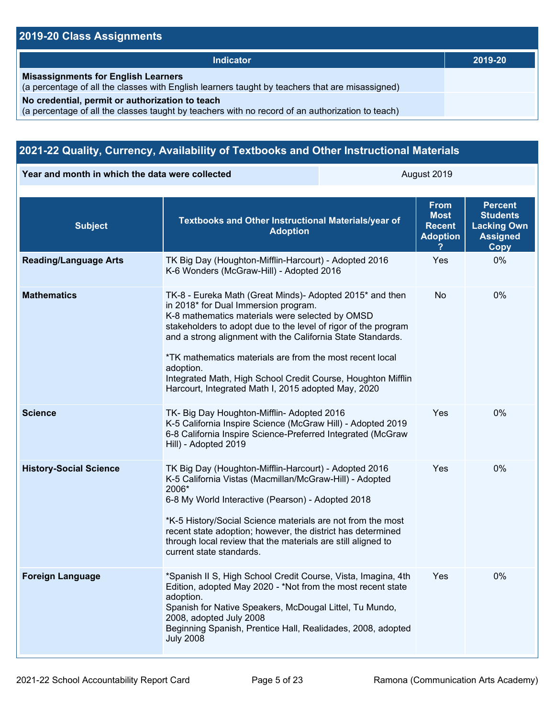## **2019-20 Class Assignments**

| <b>Indicator</b>                                                                                                                                    | 2019-20 |
|-----------------------------------------------------------------------------------------------------------------------------------------------------|---------|
| <b>Misassignments for English Learners</b><br>(a percentage of all the classes with English learners taught by teachers that are misassigned)       |         |
| No credential, permit or authorization to teach<br>(a percentage of all the classes taught by teachers with no record of an authorization to teach) |         |

## **2021-22 Quality, Currency, Availability of Textbooks and Other Instructional Materials**

**Year and month in which the data were collected August 2019** August 2019

| <b>Subject</b>                | Textbooks and Other Instructional Materials/year of<br><b>Adoption</b>                                                                                                                                                                                                                                                                                                                                                                                                               | <b>From</b><br><b>Most</b><br><b>Recent</b><br><b>Adoption</b> | <b>Percent</b><br><b>Students</b><br><b>Lacking Own</b><br><b>Assigned</b><br>Copy |
|-------------------------------|--------------------------------------------------------------------------------------------------------------------------------------------------------------------------------------------------------------------------------------------------------------------------------------------------------------------------------------------------------------------------------------------------------------------------------------------------------------------------------------|----------------------------------------------------------------|------------------------------------------------------------------------------------|
| <b>Reading/Language Arts</b>  | TK Big Day (Houghton-Mifflin-Harcourt) - Adopted 2016<br>K-6 Wonders (McGraw-Hill) - Adopted 2016                                                                                                                                                                                                                                                                                                                                                                                    | Yes                                                            | 0%                                                                                 |
| <b>Mathematics</b>            | TK-8 - Eureka Math (Great Minds)- Adopted 2015* and then<br>in 2018* for Dual Immersion program.<br>K-8 mathematics materials were selected by OMSD<br>stakeholders to adopt due to the level of rigor of the program<br>and a strong alignment with the California State Standards.<br>*TK mathematics materials are from the most recent local<br>adoption.<br>Integrated Math, High School Credit Course, Houghton Mifflin<br>Harcourt, Integrated Math I, 2015 adopted May, 2020 | <b>No</b>                                                      | 0%                                                                                 |
| <b>Science</b>                | TK- Big Day Houghton-Mifflin- Adopted 2016<br>K-5 California Inspire Science (McGraw Hill) - Adopted 2019<br>6-8 California Inspire Science-Preferred Integrated (McGraw<br>Hill) - Adopted 2019                                                                                                                                                                                                                                                                                     | Yes                                                            | 0%                                                                                 |
| <b>History-Social Science</b> | TK Big Day (Houghton-Mifflin-Harcourt) - Adopted 2016<br>K-5 California Vistas (Macmillan/McGraw-Hill) - Adopted<br>2006*<br>6-8 My World Interactive (Pearson) - Adopted 2018<br>*K-5 History/Social Science materials are not from the most<br>recent state adoption; however, the district has determined<br>through local review that the materials are still aligned to<br>current state standards.                                                                             | Yes                                                            | $0\%$                                                                              |
| <b>Foreign Language</b>       | *Spanish II S, High School Credit Course, Vista, Imagina, 4th<br>Edition, adopted May 2020 - *Not from the most recent state<br>adoption.<br>Spanish for Native Speakers, McDougal Littel, Tu Mundo,<br>2008, adopted July 2008<br>Beginning Spanish, Prentice Hall, Realidades, 2008, adopted<br><b>July 2008</b>                                                                                                                                                                   | Yes                                                            | 0%                                                                                 |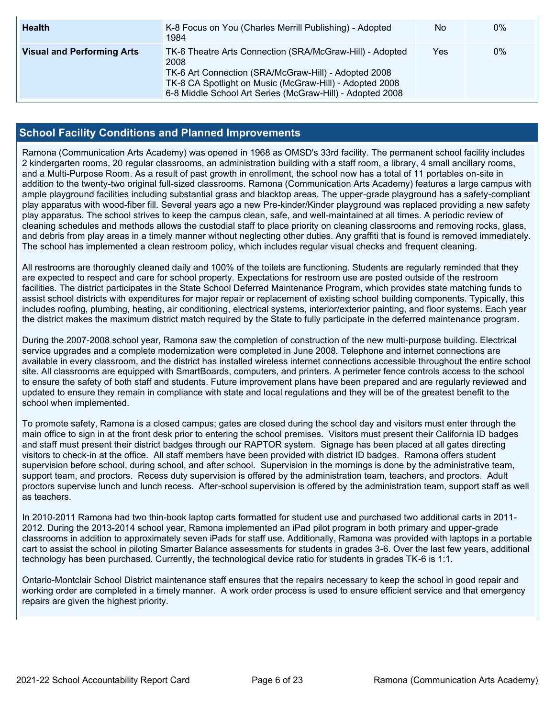| <b>Health</b>                     | K-8 Focus on You (Charles Merrill Publishing) - Adopted<br>1984                                                                                                                                                                                  | No  | 0% |
|-----------------------------------|--------------------------------------------------------------------------------------------------------------------------------------------------------------------------------------------------------------------------------------------------|-----|----|
| <b>Visual and Performing Arts</b> | TK-6 Theatre Arts Connection (SRA/McGraw-Hill) - Adopted<br>2008<br>TK-6 Art Connection (SRA/McGraw-Hill) - Adopted 2008<br>TK-8 CA Spotlight on Music (McGraw-Hill) - Adopted 2008<br>6-8 Middle School Art Series (McGraw-Hill) - Adopted 2008 | Yes | 0% |

#### **School Facility Conditions and Planned Improvements**

Ramona (Communication Arts Academy) was opened in 1968 as OMSD's 33rd facility. The permanent school facility includes 2 kindergarten rooms, 20 regular classrooms, an administration building with a staff room, a library, 4 small ancillary rooms, and a Multi-Purpose Room. As a result of past growth in enrollment, the school now has a total of 11 portables on-site in addition to the twenty-two original full-sized classrooms. Ramona (Communication Arts Academy) features a large campus with ample playground facilities including substantial grass and blacktop areas. The upper-grade playground has a safety-compliant play apparatus with wood-fiber fill. Several years ago a new Pre-kinder/Kinder playground was replaced providing a new safety play apparatus. The school strives to keep the campus clean, safe, and well-maintained at all times. A periodic review of cleaning schedules and methods allows the custodial staff to place priority on cleaning classrooms and removing rocks, glass, and debris from play areas in a timely manner without neglecting other duties. Any graffiti that is found is removed immediately. The school has implemented a clean restroom policy, which includes regular visual checks and frequent cleaning.

All restrooms are thoroughly cleaned daily and 100% of the toilets are functioning. Students are regularly reminded that they are expected to respect and care for school property. Expectations for restroom use are posted outside of the restroom facilities. The district participates in the State School Deferred Maintenance Program, which provides state matching funds to assist school districts with expenditures for major repair or replacement of existing school building components. Typically, this includes roofing, plumbing, heating, air conditioning, electrical systems, interior/exterior painting, and floor systems. Each year the district makes the maximum district match required by the State to fully participate in the deferred maintenance program.

During the 2007-2008 school year, Ramona saw the completion of construction of the new multi-purpose building. Electrical service upgrades and a complete modernization were completed in June 2008. Telephone and internet connections are available in every classroom, and the district has installed wireless internet connections accessible throughout the entire school site. All classrooms are equipped with SmartBoards, computers, and printers. A perimeter fence controls access to the school to ensure the safety of both staff and students. Future improvement plans have been prepared and are regularly reviewed and updated to ensure they remain in compliance with state and local regulations and they will be of the greatest benefit to the school when implemented.

To promote safety, Ramona is a closed campus; gates are closed during the school day and visitors must enter through the main office to sign in at the front desk prior to entering the school premises. Visitors must present their California ID badges and staff must present their district badges through our RAPTOR system. Signage has been placed at all gates directing visitors to check-in at the office. All staff members have been provided with district ID badges. Ramona offers student supervision before school, during school, and after school. Supervision in the mornings is done by the administrative team, support team, and proctors. Recess duty supervision is offered by the administration team, teachers, and proctors. Adult proctors supervise lunch and lunch recess. After-school supervision is offered by the administration team, support staff as well as teachers.

In 2010-2011 Ramona had two thin-book laptop carts formatted for student use and purchased two additional carts in 2011- 2012. During the 2013-2014 school year, Ramona implemented an iPad pilot program in both primary and upper-grade classrooms in addition to approximately seven iPads for staff use. Additionally, Ramona was provided with laptops in a portable cart to assist the school in piloting Smarter Balance assessments for students in grades 3-6. Over the last few years, additional technology has been purchased. Currently, the technological device ratio for students in grades TK-6 is 1:1.

Ontario-Montclair School District maintenance staff ensures that the repairs necessary to keep the school in good repair and working order are completed in a timely manner. A work order process is used to ensure efficient service and that emergency repairs are given the highest priority.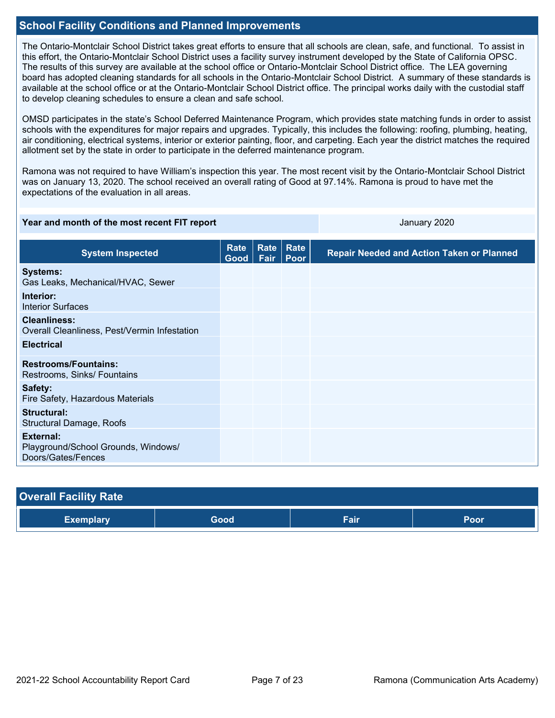#### **School Facility Conditions and Planned Improvements**

The Ontario-Montclair School District takes great efforts to ensure that all schools are clean, safe, and functional. To assist in this effort, the Ontario-Montclair School District uses a facility survey instrument developed by the State of California OPSC. The results of this survey are available at the school office or Ontario-Montclair School District office. The LEA governing board has adopted cleaning standards for all schools in the Ontario-Montclair School District. A summary of these standards is available at the school office or at the Ontario-Montclair School District office. The principal works daily with the custodial staff to develop cleaning schedules to ensure a clean and safe school.

OMSD participates in the state's School Deferred Maintenance Program, which provides state matching funds in order to assist schools with the expenditures for major repairs and upgrades. Typically, this includes the following: roofing, plumbing, heating, air conditioning, electrical systems, interior or exterior painting, floor, and carpeting. Each year the district matches the required allotment set by the state in order to participate in the deferred maintenance program.

Ramona was not required to have William's inspection this year. The most recent visit by the Ontario-Montclair School District was on January 13, 2020. The school received an overall rating of Good at 97.14%. Ramona is proud to have met the expectations of the evaluation in all areas.

| Year and month of the most recent FIT report                           |                     |      | January 2020             |                                                  |
|------------------------------------------------------------------------|---------------------|------|--------------------------|--------------------------------------------------|
| <b>System Inspected</b>                                                | <b>Rate</b><br>Good | Fair | <b>Rate Rate</b><br>Poor | <b>Repair Needed and Action Taken or Planned</b> |
| <b>Systems:</b><br>Gas Leaks, Mechanical/HVAC, Sewer                   |                     |      |                          |                                                  |
| Interior:<br><b>Interior Surfaces</b>                                  |                     |      |                          |                                                  |
| <b>Cleanliness:</b><br>Overall Cleanliness, Pest/Vermin Infestation    |                     |      |                          |                                                  |
| <b>Electrical</b>                                                      |                     |      |                          |                                                  |
| <b>Restrooms/Fountains:</b><br>Restrooms, Sinks/ Fountains             |                     |      |                          |                                                  |
| Safety:<br>Fire Safety, Hazardous Materials                            |                     |      |                          |                                                  |
| Structural:<br><b>Structural Damage, Roofs</b>                         |                     |      |                          |                                                  |
| External:<br>Playground/School Grounds, Windows/<br>Doors/Gates/Fences |                     |      |                          |                                                  |

| <b>Overall Facility Rate</b> |      |      |      |
|------------------------------|------|------|------|
| <b>Exemplary</b>             | Good | Fair | Poor |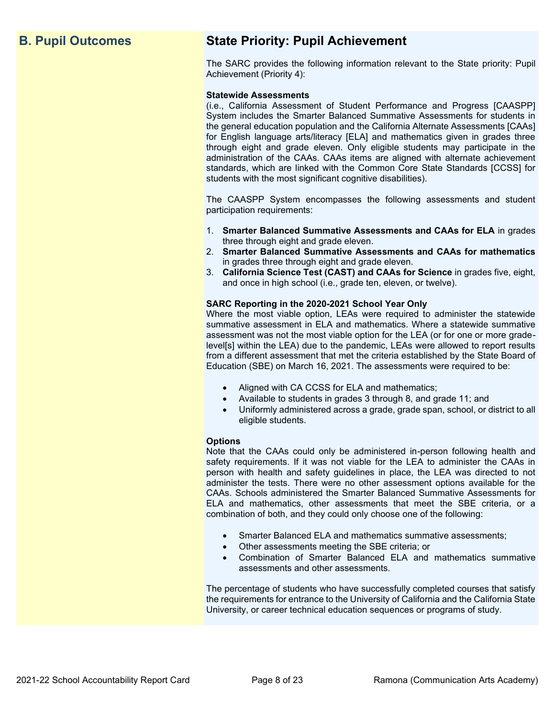## **B. Pupil Outcomes State Priority: Pupil Achievement**

The SARC provides the following information relevant to the State priority: Pupil Achievement (Priority 4):

#### **Statewide Assessments**

(i.e., California Assessment of Student Performance and Progress [CAASPP] System includes the Smarter Balanced Summative Assessments for students in the general education population and the California Alternate Assessments [CAAs] for English language arts/literacy [ELA] and mathematics given in grades three through eight and grade eleven. Only eligible students may participate in the administration of the CAAs. CAAs items are aligned with alternate achievement standards, which are linked with the Common Core State Standards [CCSS] for students with the most significant cognitive disabilities).

The CAASPP System encompasses the following assessments and student participation requirements:

- 1. **Smarter Balanced Summative Assessments and CAAs for ELA** in grades three through eight and grade eleven.
- 2. **Smarter Balanced Summative Assessments and CAAs for mathematics** in grades three through eight and grade eleven.
- 3. **California Science Test (CAST) and CAAs for Science** in grades five, eight, and once in high school (i.e., grade ten, eleven, or twelve).

#### **SARC Reporting in the 2020-2021 School Year Only**

Where the most viable option, LEAs were required to administer the statewide summative assessment in ELA and mathematics. Where a statewide summative assessment was not the most viable option for the LEA (or for one or more gradelevel[s] within the LEA) due to the pandemic, LEAs were allowed to report results from a different assessment that met the criteria established by the State Board of Education (SBE) on March 16, 2021. The assessments were required to be:

- Aligned with CA CCSS for ELA and mathematics;
- Available to students in grades 3 through 8, and grade 11; and
- Uniformly administered across a grade, grade span, school, or district to all eligible students.

#### **Options**

Note that the CAAs could only be administered in-person following health and safety requirements. If it was not viable for the LEA to administer the CAAs in person with health and safety guidelines in place, the LEA was directed to not administer the tests. There were no other assessment options available for the CAAs. Schools administered the Smarter Balanced Summative Assessments for ELA and mathematics, other assessments that meet the SBE criteria, or a combination of both, and they could only choose one of the following:

- Smarter Balanced ELA and mathematics summative assessments;
- Other assessments meeting the SBE criteria; or
- Combination of Smarter Balanced ELA and mathematics summative assessments and other assessments.

The percentage of students who have successfully completed courses that satisfy the requirements for entrance to the University of California and the California State University, or career technical education sequences or programs of study.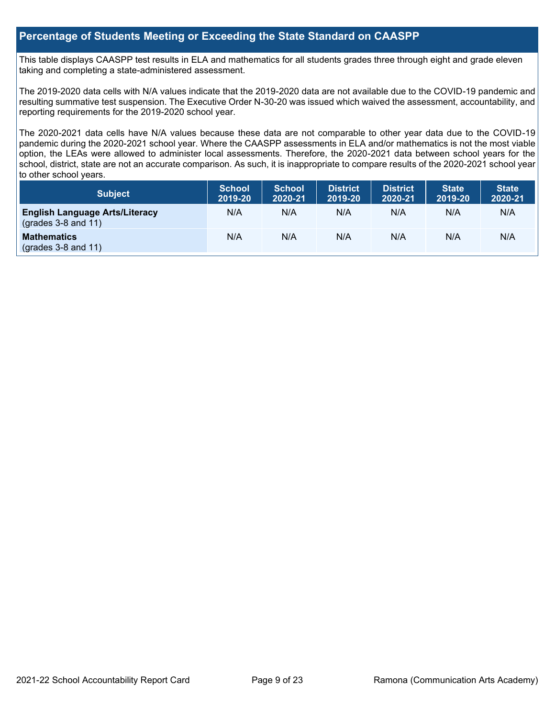#### **Percentage of Students Meeting or Exceeding the State Standard on CAASPP**

This table displays CAASPP test results in ELA and mathematics for all students grades three through eight and grade eleven taking and completing a state-administered assessment.

The 2019-2020 data cells with N/A values indicate that the 2019-2020 data are not available due to the COVID-19 pandemic and resulting summative test suspension. The Executive Order N-30-20 was issued which waived the assessment, accountability, and reporting requirements for the 2019-2020 school year.

The 2020-2021 data cells have N/A values because these data are not comparable to other year data due to the COVID-19 pandemic during the 2020-2021 school year. Where the CAASPP assessments in ELA and/or mathematics is not the most viable option, the LEAs were allowed to administer local assessments. Therefore, the 2020-2021 data between school years for the school, district, state are not an accurate comparison. As such, it is inappropriate to compare results of the 2020-2021 school year to other school years.

| Subject                                                              | <b>School</b><br>2019-20 | <b>School</b><br>2020-21 | <b>District</b><br>2019-20 | <b>District</b><br>2020-21 | <b>State</b><br>2019-20 | <b>State</b><br>2020-21 |
|----------------------------------------------------------------------|--------------------------|--------------------------|----------------------------|----------------------------|-------------------------|-------------------------|
| <b>English Language Arts/Literacy</b><br>$\left($ grades 3-8 and 11) | N/A                      | N/A                      | N/A                        | N/A                        | N/A                     | N/A                     |
| <b>Mathematics</b><br>$(grades 3-8 and 11)$                          | N/A                      | N/A                      | N/A                        | N/A                        | N/A                     | N/A                     |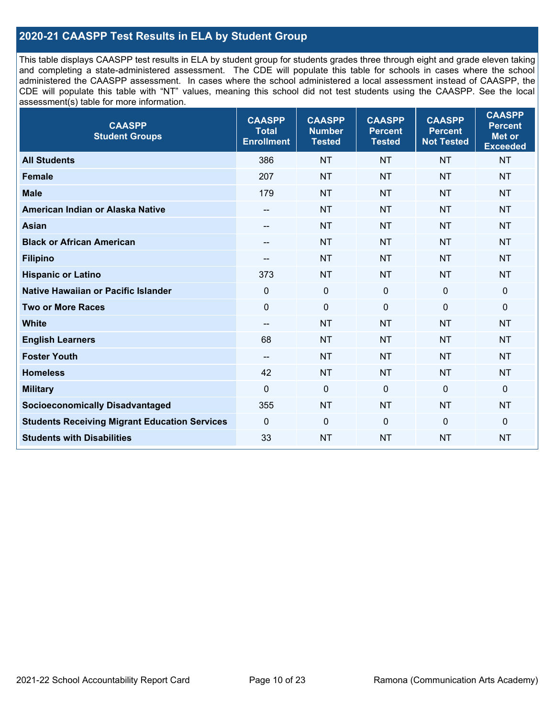### **2020-21 CAASPP Test Results in ELA by Student Group**

This table displays CAASPP test results in ELA by student group for students grades three through eight and grade eleven taking and completing a state-administered assessment. The CDE will populate this table for schools in cases where the school administered the CAASPP assessment. In cases where the school administered a local assessment instead of CAASPP, the CDE will populate this table with "NT" values, meaning this school did not test students using the CAASPP. See the local assessment(s) table for more information.

| <b>CAASPP</b><br><b>Student Groups</b>               | <b>CAASPP</b><br><b>Total</b><br><b>Enrollment</b> | <b>CAASPP</b><br><b>Number</b><br><b>Tested</b> | <b>CAASPP</b><br><b>Percent</b><br><b>Tested</b> | <b>CAASPP</b><br><b>Percent</b><br><b>Not Tested</b> | <b>CAASPP</b><br><b>Percent</b><br><b>Met or</b><br><b>Exceeded</b> |
|------------------------------------------------------|----------------------------------------------------|-------------------------------------------------|--------------------------------------------------|------------------------------------------------------|---------------------------------------------------------------------|
| <b>All Students</b>                                  | 386                                                | <b>NT</b>                                       | <b>NT</b>                                        | <b>NT</b>                                            | <b>NT</b>                                                           |
| <b>Female</b>                                        | 207                                                | <b>NT</b>                                       | <b>NT</b>                                        | <b>NT</b>                                            | <b>NT</b>                                                           |
| <b>Male</b>                                          | 179                                                | <b>NT</b>                                       | <b>NT</b>                                        | <b>NT</b>                                            | <b>NT</b>                                                           |
| American Indian or Alaska Native                     | --                                                 | <b>NT</b>                                       | <b>NT</b>                                        | <b>NT</b>                                            | <b>NT</b>                                                           |
| <b>Asian</b>                                         | --                                                 | <b>NT</b>                                       | <b>NT</b>                                        | <b>NT</b>                                            | <b>NT</b>                                                           |
| <b>Black or African American</b>                     | --                                                 | <b>NT</b>                                       | <b>NT</b>                                        | <b>NT</b>                                            | <b>NT</b>                                                           |
| <b>Filipino</b>                                      | --                                                 | <b>NT</b>                                       | <b>NT</b>                                        | <b>NT</b>                                            | <b>NT</b>                                                           |
| <b>Hispanic or Latino</b>                            | 373                                                | <b>NT</b>                                       | <b>NT</b>                                        | <b>NT</b>                                            | <b>NT</b>                                                           |
| <b>Native Hawaiian or Pacific Islander</b>           | $\mathbf 0$                                        | $\pmb{0}$                                       | 0                                                | $\mathbf 0$                                          | 0                                                                   |
| <b>Two or More Races</b>                             | $\mathbf 0$                                        | $\pmb{0}$                                       | 0                                                | $\mathbf 0$                                          | 0                                                                   |
| <b>White</b>                                         | --                                                 | <b>NT</b>                                       | <b>NT</b>                                        | <b>NT</b>                                            | <b>NT</b>                                                           |
| <b>English Learners</b>                              | 68                                                 | <b>NT</b>                                       | <b>NT</b>                                        | <b>NT</b>                                            | <b>NT</b>                                                           |
| <b>Foster Youth</b>                                  | $\overline{\phantom{a}}$                           | <b>NT</b>                                       | <b>NT</b>                                        | <b>NT</b>                                            | <b>NT</b>                                                           |
| <b>Homeless</b>                                      | 42                                                 | <b>NT</b>                                       | <b>NT</b>                                        | <b>NT</b>                                            | <b>NT</b>                                                           |
| <b>Military</b>                                      | $\mathbf 0$                                        | $\pmb{0}$                                       | 0                                                | $\mathbf 0$                                          | 0                                                                   |
| <b>Socioeconomically Disadvantaged</b>               | 355                                                | <b>NT</b>                                       | <b>NT</b>                                        | <b>NT</b>                                            | <b>NT</b>                                                           |
| <b>Students Receiving Migrant Education Services</b> | $\Omega$                                           | $\mathbf 0$                                     | $\Omega$                                         | $\mathbf{0}$                                         | 0                                                                   |
| <b>Students with Disabilities</b>                    | 33                                                 | <b>NT</b>                                       | <b>NT</b>                                        | <b>NT</b>                                            | <b>NT</b>                                                           |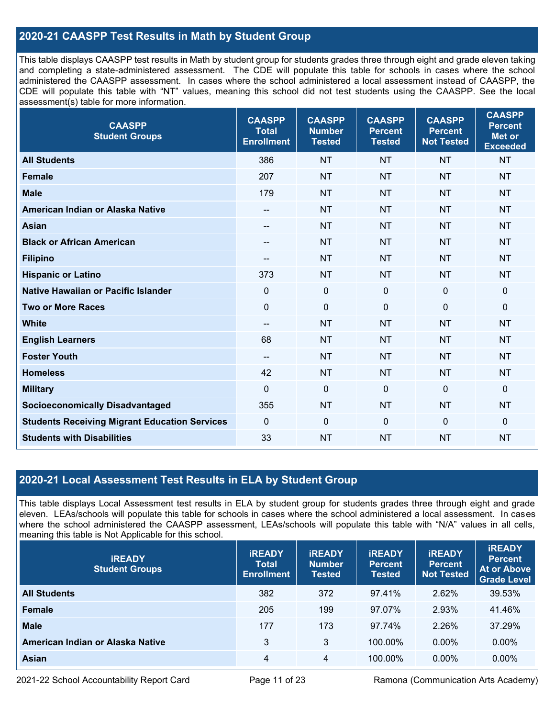### **2020-21 CAASPP Test Results in Math by Student Group**

This table displays CAASPP test results in Math by student group for students grades three through eight and grade eleven taking and completing a state-administered assessment. The CDE will populate this table for schools in cases where the school administered the CAASPP assessment. In cases where the school administered a local assessment instead of CAASPP, the CDE will populate this table with "NT" values, meaning this school did not test students using the CAASPP. See the local assessment(s) table for more information.

| <b>CAASPP</b><br><b>Student Groups</b>               | <b>CAASPP</b><br><b>Total</b><br><b>Enrollment</b> | <b>CAASPP</b><br><b>Number</b><br><b>Tested</b> | <b>CAASPP</b><br><b>Percent</b><br><b>Tested</b> | <b>CAASPP</b><br><b>Percent</b><br><b>Not Tested</b> | <b>CAASPP</b><br><b>Percent</b><br><b>Met or</b><br><b>Exceeded</b> |
|------------------------------------------------------|----------------------------------------------------|-------------------------------------------------|--------------------------------------------------|------------------------------------------------------|---------------------------------------------------------------------|
| <b>All Students</b>                                  | 386                                                | <b>NT</b>                                       | <b>NT</b>                                        | <b>NT</b>                                            | <b>NT</b>                                                           |
| <b>Female</b>                                        | 207                                                | <b>NT</b>                                       | <b>NT</b>                                        | <b>NT</b>                                            | <b>NT</b>                                                           |
| <b>Male</b>                                          | 179                                                | <b>NT</b>                                       | <b>NT</b>                                        | <b>NT</b>                                            | <b>NT</b>                                                           |
| American Indian or Alaska Native                     | --                                                 | <b>NT</b>                                       | <b>NT</b>                                        | <b>NT</b>                                            | <b>NT</b>                                                           |
| <b>Asian</b>                                         | --                                                 | <b>NT</b>                                       | <b>NT</b>                                        | <b>NT</b>                                            | <b>NT</b>                                                           |
| <b>Black or African American</b>                     | $\overline{\phantom{a}}$                           | <b>NT</b>                                       | <b>NT</b>                                        | <b>NT</b>                                            | <b>NT</b>                                                           |
| <b>Filipino</b>                                      | $- -$                                              | <b>NT</b>                                       | <b>NT</b>                                        | <b>NT</b>                                            | <b>NT</b>                                                           |
| <b>Hispanic or Latino</b>                            | 373                                                | <b>NT</b>                                       | <b>NT</b>                                        | <b>NT</b>                                            | <b>NT</b>                                                           |
| Native Hawaiian or Pacific Islander                  | $\mathbf 0$                                        | $\mathbf 0$                                     | $\mathbf 0$                                      | $\mathbf 0$                                          | $\mathbf 0$                                                         |
| <b>Two or More Races</b>                             | $\mathbf 0$                                        | $\pmb{0}$                                       | $\mathbf 0$                                      | 0                                                    | $\pmb{0}$                                                           |
| <b>White</b>                                         | $-$                                                | <b>NT</b>                                       | <b>NT</b>                                        | <b>NT</b>                                            | <b>NT</b>                                                           |
| <b>English Learners</b>                              | 68                                                 | <b>NT</b>                                       | <b>NT</b>                                        | <b>NT</b>                                            | <b>NT</b>                                                           |
| <b>Foster Youth</b>                                  | $-$                                                | <b>NT</b>                                       | <b>NT</b>                                        | <b>NT</b>                                            | <b>NT</b>                                                           |
| <b>Homeless</b>                                      | 42                                                 | <b>NT</b>                                       | <b>NT</b>                                        | <b>NT</b>                                            | <b>NT</b>                                                           |
| <b>Military</b>                                      | $\mathbf 0$                                        | $\mathbf 0$                                     | $\mathbf{0}$                                     | $\mathbf 0$                                          | $\mathbf 0$                                                         |
| <b>Socioeconomically Disadvantaged</b>               | 355                                                | <b>NT</b>                                       | <b>NT</b>                                        | <b>NT</b>                                            | <b>NT</b>                                                           |
| <b>Students Receiving Migrant Education Services</b> | $\mathbf{0}$                                       | $\mathbf 0$                                     | 0                                                | $\mathbf{0}$                                         | $\mathbf 0$                                                         |
| <b>Students with Disabilities</b>                    | 33                                                 | <b>NT</b>                                       | <b>NT</b>                                        | <b>NT</b>                                            | <b>NT</b>                                                           |

#### **2020-21 Local Assessment Test Results in ELA by Student Group**

This table displays Local Assessment test results in ELA by student group for students grades three through eight and grade eleven. LEAs/schools will populate this table for schools in cases where the school administered a local assessment. In cases where the school administered the CAASPP assessment, LEAs/schools will populate this table with "N/A" values in all cells, meaning this table is Not Applicable for this school.

| <b>IREADY</b><br><b>Student Groups</b> | <b>IREADY</b><br><b>Total</b><br><b>Enrollment</b> | <b>IREADY</b><br><b>Number</b><br>Tested | <b>IREADY</b><br><b>Percent</b><br><b>Tested</b> | <b>IREADY</b><br><b>Percent</b><br><b>Not Tested</b> | <b>IREADY</b><br><b>Percent</b><br>At or Above<br><b>Grade Level</b> |
|----------------------------------------|----------------------------------------------------|------------------------------------------|--------------------------------------------------|------------------------------------------------------|----------------------------------------------------------------------|
| <b>All Students</b>                    | 382                                                | 372                                      | 97.41%                                           | 2.62%                                                | 39.53%                                                               |
| <b>Female</b>                          | 205                                                | 199                                      | 97.07%                                           | 2.93%                                                | 41.46%                                                               |
| <b>Male</b>                            | 177                                                | 173                                      | 97.74%                                           | 2.26%                                                | 37.29%                                                               |
| American Indian or Alaska Native       | 3                                                  | 3                                        | 100.00%                                          | $0.00\%$                                             | $0.00\%$                                                             |
| Asian                                  | 4                                                  | 4                                        | 100.00%                                          | $0.00\%$                                             | $0.00\%$                                                             |

2021-22 School Accountability Report Card Page 11 of 23 Ramona (Communication Arts Academy)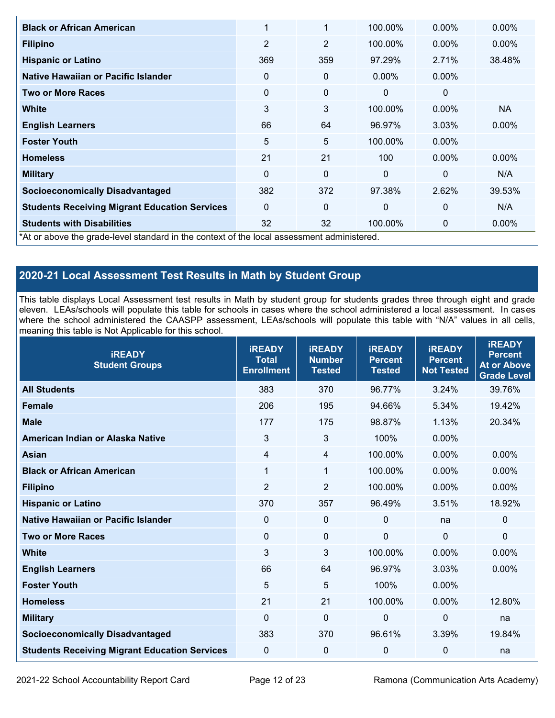| <b>Black or African American</b>                                                           | $\mathbf 1$    | 1              | 100.00%  | 0.00%    | 0.00%     |
|--------------------------------------------------------------------------------------------|----------------|----------------|----------|----------|-----------|
| <b>Filipino</b>                                                                            | $\overline{2}$ | $\overline{2}$ | 100.00%  | $0.00\%$ | $0.00\%$  |
| <b>Hispanic or Latino</b>                                                                  | 369            | 359            | 97.29%   | 2.71%    | 38.48%    |
| Native Hawaiian or Pacific Islander                                                        | 0              | 0              | $0.00\%$ | $0.00\%$ |           |
| <b>Two or More Races</b>                                                                   | 0              | 0              | $\Omega$ | $\Omega$ |           |
| <b>White</b>                                                                               | 3              | 3              | 100.00%  | $0.00\%$ | <b>NA</b> |
| <b>English Learners</b>                                                                    | 66             | 64             | 96.97%   | 3.03%    | 0.00%     |
| <b>Foster Youth</b>                                                                        | 5              | 5              | 100.00%  | $0.00\%$ |           |
| <b>Homeless</b>                                                                            | 21             | 21             | 100      | $0.00\%$ | 0.00%     |
| <b>Military</b>                                                                            | $\mathbf{0}$   | $\Omega$       | $\Omega$ | $\Omega$ | N/A       |
| <b>Socioeconomically Disadvantaged</b>                                                     | 382            | 372            | 97.38%   | 2.62%    | 39.53%    |
| <b>Students Receiving Migrant Education Services</b>                                       | $\Omega$       | 0              | $\Omega$ | 0        | N/A       |
| <b>Students with Disabilities</b>                                                          | 32             | 32             | 100.00%  | 0        | 0.00%     |
| *At or above the grade-level standard in the context of the local assessment administered. |                |                |          |          |           |

## **2020-21 Local Assessment Test Results in Math by Student Group**

This table displays Local Assessment test results in Math by student group for students grades three through eight and grade eleven. LEAs/schools will populate this table for schools in cases where the school administered a local assessment. In cases where the school administered the CAASPP assessment, LEAs/schools will populate this table with "N/A" values in all cells, meaning this table is Not Applicable for this school.

| <b>IREADY</b><br><b>Student Groups</b>               | <b>IREADY</b><br><b>Total</b><br><b>Enrollment</b> | <b>IREADY</b><br><b>Number</b><br><b>Tested</b> | <b>IREADY</b><br><b>Percent</b><br><b>Tested</b> | <b>iREADY</b><br><b>Percent</b><br><b>Not Tested</b> | <b>iREADY</b><br><b>Percent</b><br><b>At or Above</b><br><b>Grade Level</b> |
|------------------------------------------------------|----------------------------------------------------|-------------------------------------------------|--------------------------------------------------|------------------------------------------------------|-----------------------------------------------------------------------------|
| <b>All Students</b>                                  | 383                                                | 370                                             | 96.77%                                           | 3.24%                                                | 39.76%                                                                      |
| <b>Female</b>                                        | 206                                                | 195                                             | 94.66%                                           | 5.34%                                                | 19.42%                                                                      |
| <b>Male</b>                                          | 177                                                | 175                                             | 98.87%                                           | 1.13%                                                | 20.34%                                                                      |
| American Indian or Alaska Native                     | 3                                                  | $\mathfrak{S}$                                  | 100%                                             | $0.00\%$                                             |                                                                             |
| <b>Asian</b>                                         | 4                                                  | $\overline{4}$                                  | 100.00%                                          | 0.00%                                                | 0.00%                                                                       |
| <b>Black or African American</b>                     | $\mathbf{1}$                                       | 1                                               | 100.00%                                          | 0.00%                                                | 0.00%                                                                       |
| <b>Filipino</b>                                      | $\overline{2}$                                     | $\overline{2}$                                  | 100.00%                                          | 0.00%                                                | 0.00%                                                                       |
| <b>Hispanic or Latino</b>                            | 370                                                | 357                                             | 96.49%                                           | 3.51%                                                | 18.92%                                                                      |
| <b>Native Hawaiian or Pacific Islander</b>           | 0                                                  | $\mathbf 0$                                     | $\Omega$                                         | na                                                   | 0                                                                           |
| <b>Two or More Races</b>                             | $\mathbf 0$                                        | $\mathbf 0$                                     | $\mathbf 0$                                      | $\mathbf 0$                                          | 0                                                                           |
| <b>White</b>                                         | 3                                                  | 3                                               | 100.00%                                          | 0.00%                                                | 0.00%                                                                       |
| <b>English Learners</b>                              | 66                                                 | 64                                              | 96.97%                                           | 3.03%                                                | 0.00%                                                                       |
| <b>Foster Youth</b>                                  | 5                                                  | 5                                               | 100%                                             | 0.00%                                                |                                                                             |
| <b>Homeless</b>                                      | 21                                                 | 21                                              | 100.00%                                          | 0.00%                                                | 12.80%                                                                      |
| <b>Military</b>                                      | $\mathbf 0$                                        | $\mathbf 0$                                     | 0                                                | $\mathbf 0$                                          | na                                                                          |
| <b>Socioeconomically Disadvantaged</b>               | 383                                                | 370                                             | 96.61%                                           | 3.39%                                                | 19.84%                                                                      |
| <b>Students Receiving Migrant Education Services</b> | $\pmb{0}$                                          | $\pmb{0}$                                       | 0                                                | $\mathbf 0$                                          | na                                                                          |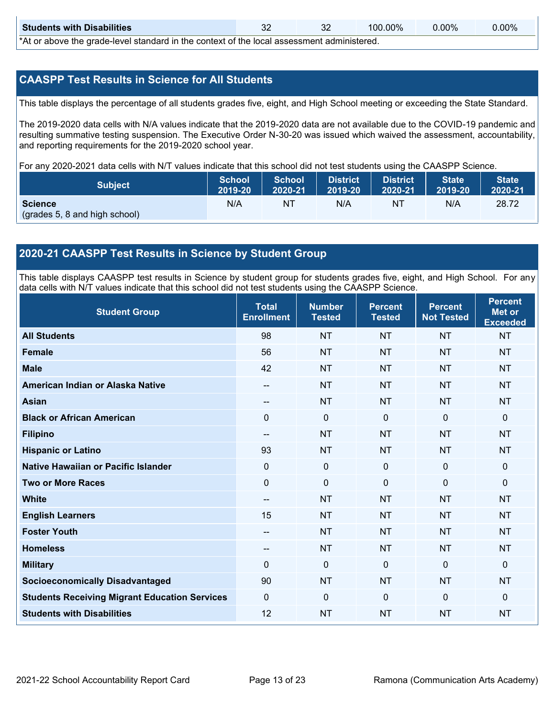| <b>Students with Disabilities</b>                                                                     | 32 | $100.00\%$ | $0.00\%$ | $0.00\%$ |
|-------------------------------------------------------------------------------------------------------|----|------------|----------|----------|
| *At an abacca that would have later dand by the counterst of the houst again consent a declaration of |    |            |          |          |

\*At or above the grade-level standard in the context of the local assessment administered.

#### **CAASPP Test Results in Science for All Students**

This table displays the percentage of all students grades five, eight, and High School meeting or exceeding the State Standard.

The 2019-2020 data cells with N/A values indicate that the 2019-2020 data are not available due to the COVID-19 pandemic and resulting summative testing suspension. The Executive Order N-30-20 was issued which waived the assessment, accountability, and reporting requirements for the 2019-2020 school year.

For any 2020-2021 data cells with N/T values indicate that this school did not test students using the CAASPP Science.

| <b>Subject</b>                | <b>School</b><br>2019-20 | <b>School</b><br>2020-21 | <b>District</b><br>12019-20 | District<br>2020-21 | <b>State</b><br>2019-20 | <b>State</b><br>2020-21 |
|-------------------------------|--------------------------|--------------------------|-----------------------------|---------------------|-------------------------|-------------------------|
| <b>Science</b>                | N/A                      | NT                       | N/A                         | NT                  | N/A                     | 28.72                   |
| (grades 5, 8 and high school) |                          |                          |                             |                     |                         |                         |

#### **2020-21 CAASPP Test Results in Science by Student Group**

This table displays CAASPP test results in Science by student group for students grades five, eight, and High School. For any data cells with N/T values indicate that this school did not test students using the CAASPP Science.

| <b>Student Group</b>                                 | <b>Total</b><br><b>Enrollment</b> | <b>Number</b><br><b>Tested</b> | <b>Percent</b><br><b>Tested</b> | <b>Percent</b><br><b>Not Tested</b> | <b>Percent</b><br><b>Met or</b><br><b>Exceeded</b> |
|------------------------------------------------------|-----------------------------------|--------------------------------|---------------------------------|-------------------------------------|----------------------------------------------------|
| <b>All Students</b>                                  | 98                                | <b>NT</b>                      | <b>NT</b>                       | <b>NT</b>                           | <b>NT</b>                                          |
| <b>Female</b>                                        | 56                                | <b>NT</b>                      | <b>NT</b>                       | <b>NT</b>                           | <b>NT</b>                                          |
| <b>Male</b>                                          | 42                                | <b>NT</b>                      | <b>NT</b>                       | <b>NT</b>                           | <b>NT</b>                                          |
| American Indian or Alaska Native                     | --                                | <b>NT</b>                      | <b>NT</b>                       | <b>NT</b>                           | <b>NT</b>                                          |
| <b>Asian</b>                                         | --                                | <b>NT</b>                      | <b>NT</b>                       | <b>NT</b>                           | <b>NT</b>                                          |
| <b>Black or African American</b>                     | 0                                 | $\mathbf 0$                    | $\mathbf{0}$                    | $\mathbf 0$                         | $\mathbf 0$                                        |
| <b>Filipino</b>                                      | $\overline{\phantom{a}}$          | <b>NT</b>                      | <b>NT</b>                       | <b>NT</b>                           | <b>NT</b>                                          |
| <b>Hispanic or Latino</b>                            | 93                                | <b>NT</b>                      | <b>NT</b>                       | <b>NT</b>                           | <b>NT</b>                                          |
| Native Hawaiian or Pacific Islander                  | 0                                 | 0                              | $\Omega$                        | $\Omega$                            | $\mathbf 0$                                        |
| <b>Two or More Races</b>                             | $\Omega$                          | $\mathbf 0$                    | $\mathbf{0}$                    | $\mathbf{0}$                        | $\mathbf{0}$                                       |
| <b>White</b>                                         | $\overline{\phantom{a}}$          | <b>NT</b>                      | <b>NT</b>                       | <b>NT</b>                           | <b>NT</b>                                          |
| <b>English Learners</b>                              | 15                                | <b>NT</b>                      | <b>NT</b>                       | <b>NT</b>                           | <b>NT</b>                                          |
| <b>Foster Youth</b>                                  | --                                | <b>NT</b>                      | <b>NT</b>                       | <b>NT</b>                           | <b>NT</b>                                          |
| <b>Homeless</b>                                      | --                                | <b>NT</b>                      | <b>NT</b>                       | <b>NT</b>                           | <b>NT</b>                                          |
| <b>Military</b>                                      | $\Omega$                          | $\mathbf 0$                    | $\Omega$                        | $\overline{0}$                      | $\mathbf{0}$                                       |
| <b>Socioeconomically Disadvantaged</b>               | 90                                | <b>NT</b>                      | <b>NT</b>                       | <b>NT</b>                           | <b>NT</b>                                          |
| <b>Students Receiving Migrant Education Services</b> | 0                                 | 0                              | $\overline{0}$                  | $\mathbf{0}$                        | $\mathbf{0}$                                       |
| <b>Students with Disabilities</b>                    | 12                                | <b>NT</b>                      | <b>NT</b>                       | <b>NT</b>                           | <b>NT</b>                                          |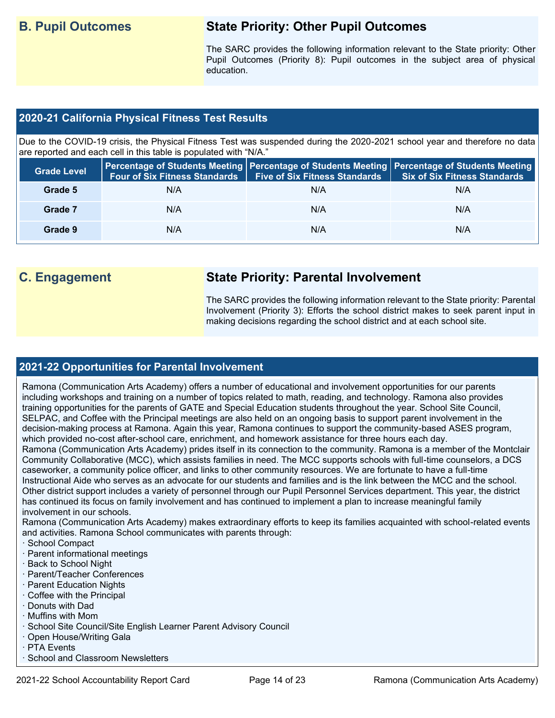## **B. Pupil Outcomes State Priority: Other Pupil Outcomes**

The SARC provides the following information relevant to the State priority: Other Pupil Outcomes (Priority 8): Pupil outcomes in the subject area of physical education.

### **2020-21 California Physical Fitness Test Results**

Due to the COVID-19 crisis, the Physical Fitness Test was suspended during the 2020-2021 school year and therefore no data are reported and each cell in this table is populated with "N/A."

| <b>Grade Level</b> | <b>Four of Six Fitness Standards</b> | <b>Five of Six Fitness Standards</b> | Percentage of Students Meeting   Percentage of Students Meeting   Percentage of Students Meeting  <br><b>Six of Six Fitness Standards</b> |
|--------------------|--------------------------------------|--------------------------------------|-------------------------------------------------------------------------------------------------------------------------------------------|
| Grade 5            | N/A                                  | N/A                                  | N/A                                                                                                                                       |
| Grade 7            | N/A                                  | N/A                                  | N/A                                                                                                                                       |
| Grade 9            | N/A                                  | N/A                                  | N/A                                                                                                                                       |

## **C. Engagement State Priority: Parental Involvement**

The SARC provides the following information relevant to the State priority: Parental Involvement (Priority 3): Efforts the school district makes to seek parent input in making decisions regarding the school district and at each school site.

#### **2021-22 Opportunities for Parental Involvement**

Ramona (Communication Arts Academy) offers a number of educational and involvement opportunities for our parents including workshops and training on a number of topics related to math, reading, and technology. Ramona also provides training opportunities for the parents of GATE and Special Education students throughout the year. School Site Council, SELPAC, and Coffee with the Principal meetings are also held on an ongoing basis to support parent involvement in the decision-making process at Ramona. Again this year, Ramona continues to support the community-based ASES program, which provided no-cost after-school care, enrichment, and homework assistance for three hours each day.

Ramona (Communication Arts Academy) prides itself in its connection to the community. Ramona is a member of the Montclair Community Collaborative (MCC), which assists families in need. The MCC supports schools with full-time counselors, a DCS caseworker, a community police officer, and links to other community resources. We are fortunate to have a full-time Instructional Aide who serves as an advocate for our students and families and is the link between the MCC and the school. Other district support includes a variety of personnel through our Pupil Personnel Services department. This year, the district has continued its focus on family involvement and has continued to implement a plan to increase meaningful family involvement in our schools.

Ramona (Communication Arts Academy) makes extraordinary efforts to keep its families acquainted with school-related events and activities. Ramona School communicates with parents through:

- · School Compact
- · Parent informational meetings
- · Back to School Night
- · Parent/Teacher Conferences
- · Parent Education Nights
- · Coffee with the Principal
- · Donuts with Dad
- · Muffins with Mom
- · School Site Council/Site English Learner Parent Advisory Council
- · Open House/Writing Gala
- · PTA Events
- · School and Classroom Newsletters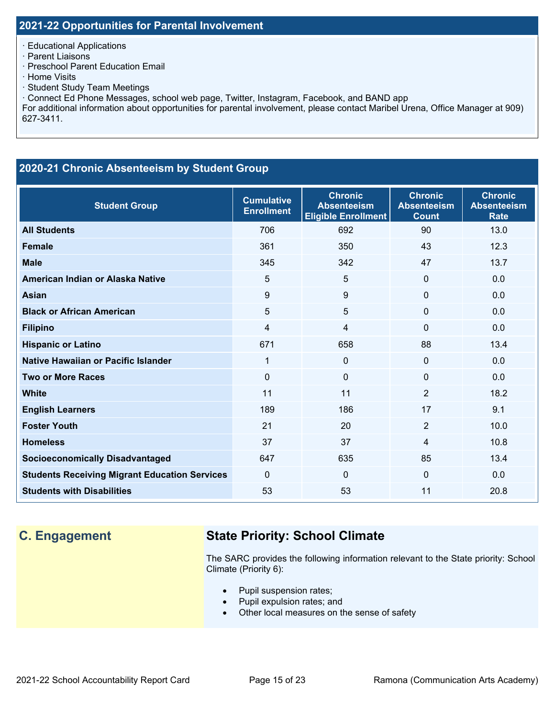· Educational Applications

· Parent Liaisons

· Preschool Parent Education Email

- · Home Visits
- · Student Study Team Meetings

· Connect Ed Phone Messages, school web page, Twitter, Instagram, Facebook, and BAND app

For additional information about opportunities for parental involvement, please contact Maribel Urena, Office Manager at 909) 627-3411.

### **2020-21 Chronic Absenteeism by Student Group**

| <b>Student Group</b>                                 | <b>Cumulative</b><br><b>Enrollment</b> | <b>Chronic</b><br><b>Absenteeism</b><br><b>Eligible Enrollment</b> | <b>Chronic</b><br><b>Absenteeism</b><br><b>Count</b> | <b>Chronic</b><br><b>Absenteeism</b><br><b>Rate</b> |
|------------------------------------------------------|----------------------------------------|--------------------------------------------------------------------|------------------------------------------------------|-----------------------------------------------------|
| <b>All Students</b>                                  | 706                                    | 692                                                                | 90                                                   | 13.0                                                |
| <b>Female</b>                                        | 361                                    | 350                                                                | 43                                                   | 12.3                                                |
| <b>Male</b>                                          | 345                                    | 342                                                                | 47                                                   | 13.7                                                |
| American Indian or Alaska Native                     | 5                                      | 5                                                                  | $\Omega$                                             | 0.0                                                 |
| <b>Asian</b>                                         | 9                                      | 9                                                                  | $\mathbf 0$                                          | 0.0                                                 |
| <b>Black or African American</b>                     | 5                                      | 5                                                                  | $\mathbf{0}$                                         | 0.0                                                 |
| <b>Filipino</b>                                      | 4                                      | 4                                                                  | $\mathbf 0$                                          | 0.0                                                 |
| <b>Hispanic or Latino</b>                            | 671                                    | 658                                                                | 88                                                   | 13.4                                                |
| Native Hawaiian or Pacific Islander                  | 1                                      | 0                                                                  | $\mathbf 0$                                          | 0.0                                                 |
| <b>Two or More Races</b>                             | $\mathbf 0$                            | 0                                                                  | $\Omega$                                             | 0.0                                                 |
| <b>White</b>                                         | 11                                     | 11                                                                 | 2                                                    | 18.2                                                |
| <b>English Learners</b>                              | 189                                    | 186                                                                | 17                                                   | 9.1                                                 |
| <b>Foster Youth</b>                                  | 21                                     | 20                                                                 | $\overline{2}$                                       | 10.0                                                |
| <b>Homeless</b>                                      | 37                                     | 37                                                                 | $\overline{4}$                                       | 10.8                                                |
| <b>Socioeconomically Disadvantaged</b>               | 647                                    | 635                                                                | 85                                                   | 13.4                                                |
| <b>Students Receiving Migrant Education Services</b> | $\Omega$                               | $\mathbf{0}$                                                       | $\Omega$                                             | 0.0                                                 |
| <b>Students with Disabilities</b>                    | 53                                     | 53                                                                 | 11                                                   | 20.8                                                |

## **C. Engagement State Priority: School Climate**

The SARC provides the following information relevant to the State priority: School Climate (Priority 6):

- Pupil suspension rates;
- Pupil expulsion rates; and
- Other local measures on the sense of safety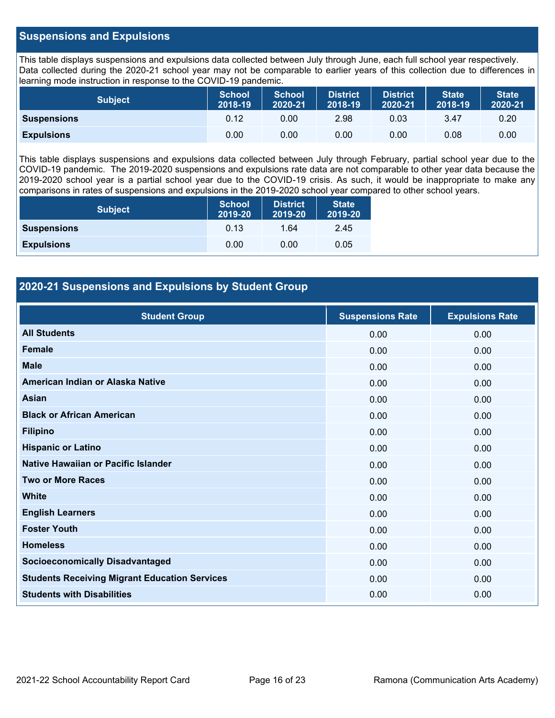#### **Suspensions and Expulsions**

This table displays suspensions and expulsions data collected between July through June, each full school year respectively. Data collected during the 2020-21 school year may not be comparable to earlier years of this collection due to differences in learning mode instruction in response to the COVID-19 pandemic.

| <b>Subject</b>     | <b>School</b><br>2018-19 | <b>School</b><br>2020-21 | <b>District</b><br>2018-19 | <b>District</b><br>2020-21 | <b>State</b><br>2018-19 | <b>State</b><br>2020-21 |
|--------------------|--------------------------|--------------------------|----------------------------|----------------------------|-------------------------|-------------------------|
| <b>Suspensions</b> | 0.12                     | 0.00                     | 2.98                       | 0.03                       | 3.47                    | 0.20                    |
| <b>Expulsions</b>  | 0.00                     | 0.00                     | 0.00                       | 0.00                       | 0.08                    | 0.00                    |

This table displays suspensions and expulsions data collected between July through February, partial school year due to the COVID-19 pandemic. The 2019-2020 suspensions and expulsions rate data are not comparable to other year data because the 2019-2020 school year is a partial school year due to the COVID-19 crisis. As such, it would be inappropriate to make any comparisons in rates of suspensions and expulsions in the 2019-2020 school year compared to other school years.

| <b>Subject</b>     | <b>School</b><br>2019-20 | <b>District</b><br>2019-20 | <b>State</b><br>2019-20 |
|--------------------|--------------------------|----------------------------|-------------------------|
| <b>Suspensions</b> | 0.13                     | 1.64                       | 2.45                    |
| <b>Expulsions</b>  | 0.00                     | 0.00                       | 0.05                    |

### **2020-21 Suspensions and Expulsions by Student Group**

| <b>Student Group</b>                                 | <b>Suspensions Rate</b> | <b>Expulsions Rate</b> |
|------------------------------------------------------|-------------------------|------------------------|
| <b>All Students</b>                                  | 0.00                    | 0.00                   |
| <b>Female</b>                                        | 0.00                    | 0.00                   |
| <b>Male</b>                                          | 0.00                    | 0.00                   |
| American Indian or Alaska Native                     | 0.00                    | 0.00                   |
| <b>Asian</b>                                         | 0.00                    | 0.00                   |
| <b>Black or African American</b>                     | 0.00                    | 0.00                   |
| <b>Filipino</b>                                      | 0.00                    | 0.00                   |
| <b>Hispanic or Latino</b>                            | 0.00                    | 0.00                   |
| Native Hawaiian or Pacific Islander                  | 0.00                    | 0.00                   |
| <b>Two or More Races</b>                             | 0.00                    | 0.00                   |
| <b>White</b>                                         | 0.00                    | 0.00                   |
| <b>English Learners</b>                              | 0.00                    | 0.00                   |
| <b>Foster Youth</b>                                  | 0.00                    | 0.00                   |
| <b>Homeless</b>                                      | 0.00                    | 0.00                   |
| <b>Socioeconomically Disadvantaged</b>               | 0.00                    | 0.00                   |
| <b>Students Receiving Migrant Education Services</b> | 0.00                    | 0.00                   |
| <b>Students with Disabilities</b>                    | 0.00                    | 0.00                   |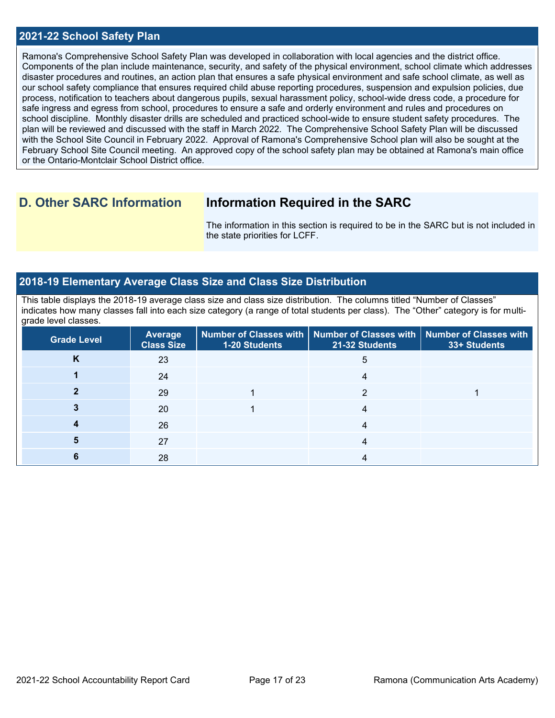#### **2021-22 School Safety Plan**

Ramona's Comprehensive School Safety Plan was developed in collaboration with local agencies and the district office. Components of the plan include maintenance, security, and safety of the physical environment, school climate which addresses disaster procedures and routines, an action plan that ensures a safe physical environment and safe school climate, as well as our school safety compliance that ensures required child abuse reporting procedures, suspension and expulsion policies, due process, notification to teachers about dangerous pupils, sexual harassment policy, school-wide dress code, a procedure for safe ingress and egress from school, procedures to ensure a safe and orderly environment and rules and procedures on school discipline. Monthly disaster drills are scheduled and practiced school-wide to ensure student safety procedures. The plan will be reviewed and discussed with the staff in March 2022. The Comprehensive School Safety Plan will be discussed with the School Site Council in February 2022. Approval of Ramona's Comprehensive School plan will also be sought at the February School Site Council meeting. An approved copy of the school safety plan may be obtained at Ramona's main office or the Ontario-Montclair School District office.

## **D. Other SARC Information Information Required in the SARC**

The information in this section is required to be in the SARC but is not included in the state priorities for LCFF.

#### **2018-19 Elementary Average Class Size and Class Size Distribution**

This table displays the 2018-19 average class size and class size distribution. The columns titled "Number of Classes" indicates how many classes fall into each size category (a range of total students per class). The "Other" category is for multigrade level classes.

| <b>Grade Level</b> | <b>Average</b><br><b>Class Size</b> | 1-20 Students | Number of Classes with   Number of Classes with  <br>21-32 Students | Number of Classes with<br>33+ Students |
|--------------------|-------------------------------------|---------------|---------------------------------------------------------------------|----------------------------------------|
| κ                  | 23                                  |               | 5                                                                   |                                        |
|                    | 24                                  |               |                                                                     |                                        |
|                    | 29                                  |               |                                                                     |                                        |
|                    | 20                                  |               |                                                                     |                                        |
|                    | 26                                  |               |                                                                     |                                        |
|                    | 27                                  |               |                                                                     |                                        |
|                    | 28                                  |               |                                                                     |                                        |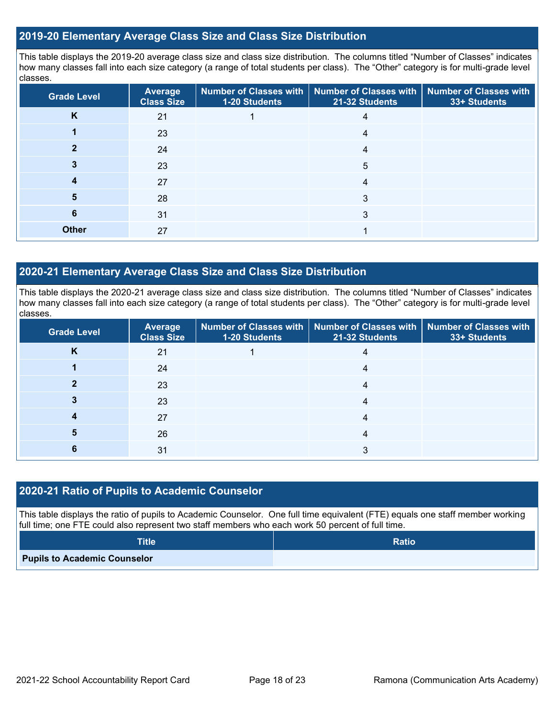#### **2019-20 Elementary Average Class Size and Class Size Distribution**

This table displays the 2019-20 average class size and class size distribution. The columns titled "Number of Classes" indicates how many classes fall into each size category (a range of total students per class). The "Other" category is for multi-grade level classes.

| <b>Grade Level</b> | Average<br><b>Class Size</b> | 1-20 Students | Number of Classes with   Number of Classes with  <br>21-32 Students | <b>Number of Classes with</b><br>33+ Students |
|--------------------|------------------------------|---------------|---------------------------------------------------------------------|-----------------------------------------------|
| K                  | 21                           |               | 4                                                                   |                                               |
|                    | 23                           |               | 4                                                                   |                                               |
|                    | 24                           |               | 4                                                                   |                                               |
|                    | 23                           |               | 5                                                                   |                                               |
|                    | 27                           |               | 4                                                                   |                                               |
| 5                  | 28                           |               | 3                                                                   |                                               |
| 6                  | 31                           |               | 3                                                                   |                                               |
| <b>Other</b>       | 27                           |               |                                                                     |                                               |

#### **2020-21 Elementary Average Class Size and Class Size Distribution**

This table displays the 2020-21 average class size and class size distribution. The columns titled "Number of Classes" indicates how many classes fall into each size category (a range of total students per class). The "Other" category is for multi-grade level classes.

| <b>Grade Level</b> | <b>Average</b><br><b>Class Size</b> | 1-20 Students | Number of Classes with   Number of Classes with   Number of Classes with<br>21-32 Students | 33+ Students |
|--------------------|-------------------------------------|---------------|--------------------------------------------------------------------------------------------|--------------|
| n.                 | 21                                  |               | 4                                                                                          |              |
|                    | 24                                  |               | 4                                                                                          |              |
|                    | 23                                  |               | 4                                                                                          |              |
|                    | 23                                  |               | 4                                                                                          |              |
|                    | 27                                  |               | 4                                                                                          |              |
|                    | 26                                  |               | 4                                                                                          |              |
| ь                  | 31                                  |               |                                                                                            |              |

#### **2020-21 Ratio of Pupils to Academic Counselor**

This table displays the ratio of pupils to Academic Counselor. One full time equivalent (FTE) equals one staff member working full time; one FTE could also represent two staff members who each work 50 percent of full time.

| <b>Title</b>                        | <b>Ratio</b> |
|-------------------------------------|--------------|
| <b>Pupils to Academic Counselor</b> |              |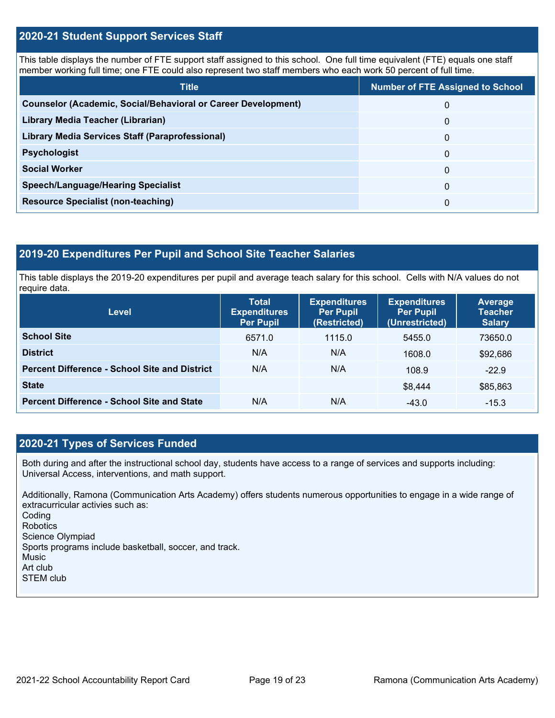#### **2020-21 Student Support Services Staff**

This table displays the number of FTE support staff assigned to this school. One full time equivalent (FTE) equals one staff member working full time; one FTE could also represent two staff members who each work 50 percent of full time.

| <b>Title</b>                                                         | <b>Number of FTE Assigned to School</b> |
|----------------------------------------------------------------------|-----------------------------------------|
| <b>Counselor (Academic, Social/Behavioral or Career Development)</b> | 0                                       |
| Library Media Teacher (Librarian)                                    | 0                                       |
| Library Media Services Staff (Paraprofessional)                      | 0                                       |
| <b>Psychologist</b>                                                  | 0                                       |
| <b>Social Worker</b>                                                 | $\Omega$                                |
| <b>Speech/Language/Hearing Specialist</b>                            | 0                                       |
| <b>Resource Specialist (non-teaching)</b>                            | 0                                       |

### **2019-20 Expenditures Per Pupil and School Site Teacher Salaries**

This table displays the 2019-20 expenditures per pupil and average teach salary for this school. Cells with N/A values do not require data.

| Level                                                | <b>Total</b><br><b>Expenditures</b><br><b>Per Pupil</b> | <b>Expenditures</b><br><b>Per Pupil</b><br>(Restricted) | <b>Expenditures</b><br><b>Per Pupil</b><br>(Unrestricted) | <b>Average</b><br><b>Teacher</b><br><b>Salary</b> |  |
|------------------------------------------------------|---------------------------------------------------------|---------------------------------------------------------|-----------------------------------------------------------|---------------------------------------------------|--|
| <b>School Site</b>                                   | 6571.0                                                  | 1115.0                                                  | 5455.0                                                    | 73650.0                                           |  |
| <b>District</b>                                      | N/A                                                     | N/A                                                     | 1608.0                                                    | \$92,686                                          |  |
| <b>Percent Difference - School Site and District</b> | N/A                                                     | N/A                                                     | 108.9                                                     | $-22.9$                                           |  |
| <b>State</b>                                         |                                                         |                                                         | \$8,444                                                   | \$85,863                                          |  |
| <b>Percent Difference - School Site and State</b>    | N/A                                                     | N/A                                                     | $-43.0$                                                   | $-15.3$                                           |  |

#### **2020-21 Types of Services Funded**

Both during and after the instructional school day, students have access to a range of services and supports including: Universal Access, interventions, and math support.

Additionally, Ramona (Communication Arts Academy) offers students numerous opportunities to engage in a wide range of extracurricular activies such as: Coding Robotics Science Olympiad Sports programs include basketball, soccer, and track. Music Art club STEM club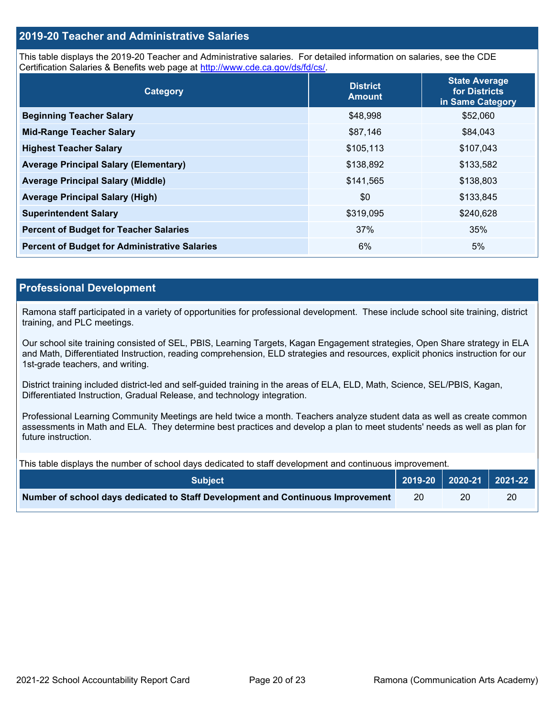#### **2019-20 Teacher and Administrative Salaries**

This table displays the 2019-20 Teacher and Administrative salaries. For detailed information on salaries, see the CDE Certification Salaries & Benefits web page at [http://www.cde.ca.gov/ds/fd/cs/.](http://www.cde.ca.gov/ds/fd/cs/)

| Category                                             | <b>District</b><br><b>Amount</b> | <b>State Average</b><br>for Districts<br>in Same Category |
|------------------------------------------------------|----------------------------------|-----------------------------------------------------------|
| <b>Beginning Teacher Salary</b>                      | \$48,998                         | \$52,060                                                  |
| <b>Mid-Range Teacher Salary</b>                      | \$87,146                         | \$84,043                                                  |
| <b>Highest Teacher Salary</b>                        | \$105,113                        | \$107,043                                                 |
| <b>Average Principal Salary (Elementary)</b>         | \$138,892                        | \$133,582                                                 |
| <b>Average Principal Salary (Middle)</b>             | \$141,565                        | \$138,803                                                 |
| <b>Average Principal Salary (High)</b>               | \$0                              | \$133,845                                                 |
| <b>Superintendent Salary</b>                         | \$319,095                        | \$240,628                                                 |
| <b>Percent of Budget for Teacher Salaries</b>        | 37%                              | 35%                                                       |
| <b>Percent of Budget for Administrative Salaries</b> | 6%                               | 5%                                                        |

#### **Professional Development**

Ramona staff participated in a variety of opportunities for professional development. These include school site training, district training, and PLC meetings.

Our school site training consisted of SEL, PBIS, Learning Targets, Kagan Engagement strategies, Open Share strategy in ELA and Math, Differentiated Instruction, reading comprehension, ELD strategies and resources, explicit phonics instruction for our 1st-grade teachers, and writing.

District training included district-led and self-guided training in the areas of ELA, ELD, Math, Science, SEL/PBIS, Kagan, Differentiated Instruction, Gradual Release, and technology integration.

Professional Learning Community Meetings are held twice a month. Teachers analyze student data as well as create common assessments in Math and ELA. They determine best practices and develop a plan to meet students' needs as well as plan for future instruction.

This table displays the number of school days dedicated to staff development and continuous improvement.

| <b>Subiect</b> '                                                                |    | 2019-20   2020-21   2021-22 |    |
|---------------------------------------------------------------------------------|----|-----------------------------|----|
| Number of school days dedicated to Staff Development and Continuous Improvement | 20 | 20                          | 20 |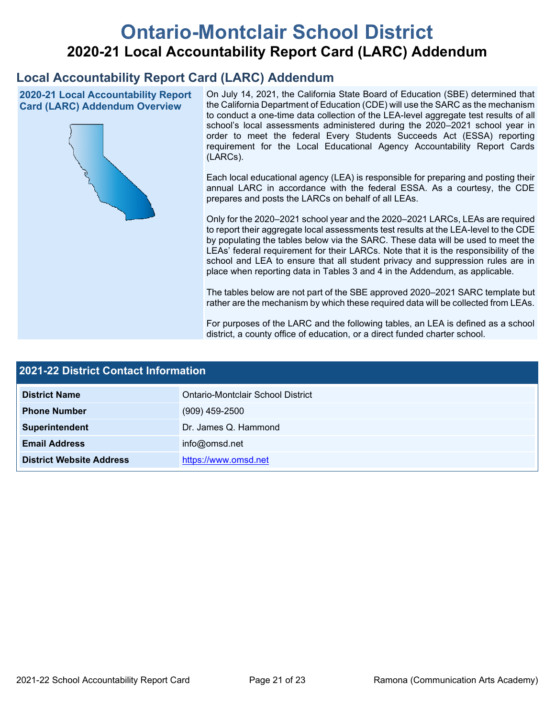# **Ontario-Montclair School District 2020-21 Local Accountability Report Card (LARC) Addendum**

## **Local Accountability Report Card (LARC) Addendum**

**2020-21 Local Accountability Report Card (LARC) Addendum Overview**



On July 14, 2021, the California State Board of Education (SBE) determined that the California Department of Education (CDE) will use the SARC as the mechanism to conduct a one-time data collection of the LEA-level aggregate test results of all school's local assessments administered during the 2020–2021 school year in order to meet the federal Every Students Succeeds Act (ESSA) reporting requirement for the Local Educational Agency Accountability Report Cards (LARCs).

Each local educational agency (LEA) is responsible for preparing and posting their annual LARC in accordance with the federal ESSA. As a courtesy, the CDE prepares and posts the LARCs on behalf of all LEAs.

Only for the 2020–2021 school year and the 2020–2021 LARCs, LEAs are required to report their aggregate local assessments test results at the LEA-level to the CDE by populating the tables below via the SARC. These data will be used to meet the LEAs' federal requirement for their LARCs. Note that it is the responsibility of the school and LEA to ensure that all student privacy and suppression rules are in place when reporting data in Tables 3 and 4 in the Addendum, as applicable.

The tables below are not part of the SBE approved 2020–2021 SARC template but rather are the mechanism by which these required data will be collected from LEAs.

For purposes of the LARC and the following tables, an LEA is defined as a school district, a county office of education, or a direct funded charter school.

| <b>2021-22 District Contact Information</b> |                                   |  |  |
|---------------------------------------------|-----------------------------------|--|--|
| <b>District Name</b>                        | Ontario-Montclair School District |  |  |
| <b>Phone Number</b>                         | $(909)$ 459-2500                  |  |  |
| Superintendent                              | Dr. James Q. Hammond              |  |  |
| <b>Email Address</b>                        | info@omsd.net                     |  |  |
| <b>District Website Address</b>             | https://www.omsd.net              |  |  |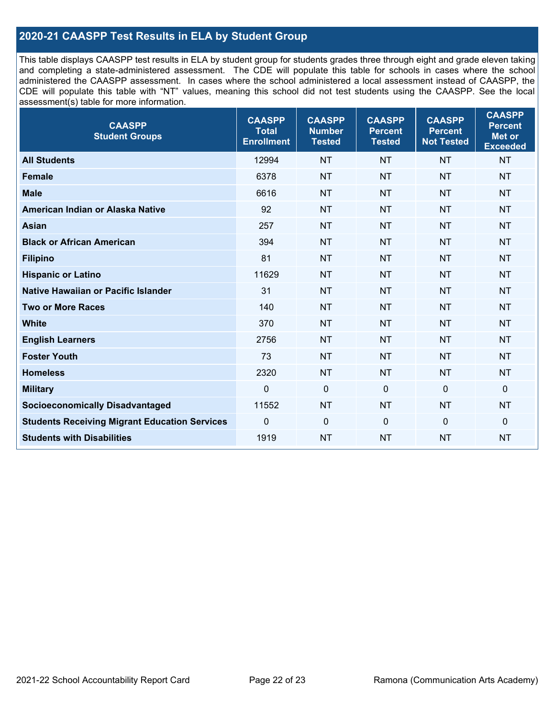### **2020-21 CAASPP Test Results in ELA by Student Group**

This table displays CAASPP test results in ELA by student group for students grades three through eight and grade eleven taking and completing a state-administered assessment. The CDE will populate this table for schools in cases where the school administered the CAASPP assessment. In cases where the school administered a local assessment instead of CAASPP, the CDE will populate this table with "NT" values, meaning this school did not test students using the CAASPP. See the local assessment(s) table for more information.

| <b>CAASPP</b><br><b>Student Groups</b>               | <b>CAASPP</b><br><b>Total</b><br><b>Enrollment</b> | <b>CAASPP</b><br><b>Number</b><br><b>Tested</b> | <b>CAASPP</b><br><b>Percent</b><br><b>Tested</b> | <b>CAASPP</b><br><b>Percent</b><br><b>Not Tested</b> | <b>CAASPP</b><br><b>Percent</b><br>Met or<br><b>Exceeded</b> |
|------------------------------------------------------|----------------------------------------------------|-------------------------------------------------|--------------------------------------------------|------------------------------------------------------|--------------------------------------------------------------|
| <b>All Students</b>                                  | 12994                                              | <b>NT</b>                                       | <b>NT</b>                                        | <b>NT</b>                                            | <b>NT</b>                                                    |
| <b>Female</b>                                        | 6378                                               | <b>NT</b>                                       | <b>NT</b>                                        | <b>NT</b>                                            | <b>NT</b>                                                    |
| <b>Male</b>                                          | 6616                                               | <b>NT</b>                                       | <b>NT</b>                                        | <b>NT</b>                                            | <b>NT</b>                                                    |
| American Indian or Alaska Native                     | 92                                                 | <b>NT</b>                                       | <b>NT</b>                                        | <b>NT</b>                                            | <b>NT</b>                                                    |
| <b>Asian</b>                                         | 257                                                | <b>NT</b>                                       | <b>NT</b>                                        | <b>NT</b>                                            | <b>NT</b>                                                    |
| <b>Black or African American</b>                     | 394                                                | <b>NT</b>                                       | <b>NT</b>                                        | <b>NT</b>                                            | <b>NT</b>                                                    |
| <b>Filipino</b>                                      | 81                                                 | <b>NT</b>                                       | <b>NT</b>                                        | <b>NT</b>                                            | <b>NT</b>                                                    |
| <b>Hispanic or Latino</b>                            | 11629                                              | <b>NT</b>                                       | <b>NT</b>                                        | <b>NT</b>                                            | <b>NT</b>                                                    |
| Native Hawaiian or Pacific Islander                  | 31                                                 | <b>NT</b>                                       | <b>NT</b>                                        | <b>NT</b>                                            | <b>NT</b>                                                    |
| <b>Two or More Races</b>                             | 140                                                | <b>NT</b>                                       | <b>NT</b>                                        | <b>NT</b>                                            | <b>NT</b>                                                    |
| <b>White</b>                                         | 370                                                | <b>NT</b>                                       | <b>NT</b>                                        | <b>NT</b>                                            | <b>NT</b>                                                    |
| <b>English Learners</b>                              | 2756                                               | <b>NT</b>                                       | <b>NT</b>                                        | <b>NT</b>                                            | <b>NT</b>                                                    |
| <b>Foster Youth</b>                                  | 73                                                 | <b>NT</b>                                       | <b>NT</b>                                        | <b>NT</b>                                            | <b>NT</b>                                                    |
| <b>Homeless</b>                                      | 2320                                               | <b>NT</b>                                       | <b>NT</b>                                        | <b>NT</b>                                            | <b>NT</b>                                                    |
| <b>Military</b>                                      | $\mathbf 0$                                        | $\mathbf 0$                                     | $\mathbf 0$                                      | $\mathbf 0$                                          | 0                                                            |
| <b>Socioeconomically Disadvantaged</b>               | 11552                                              | <b>NT</b>                                       | <b>NT</b>                                        | <b>NT</b>                                            | <b>NT</b>                                                    |
| <b>Students Receiving Migrant Education Services</b> | $\Omega$                                           | $\mathbf 0$                                     | $\mathbf{0}$                                     | $\Omega$                                             | 0                                                            |
| <b>Students with Disabilities</b>                    | 1919                                               | <b>NT</b>                                       | <b>NT</b>                                        | <b>NT</b>                                            | <b>NT</b>                                                    |